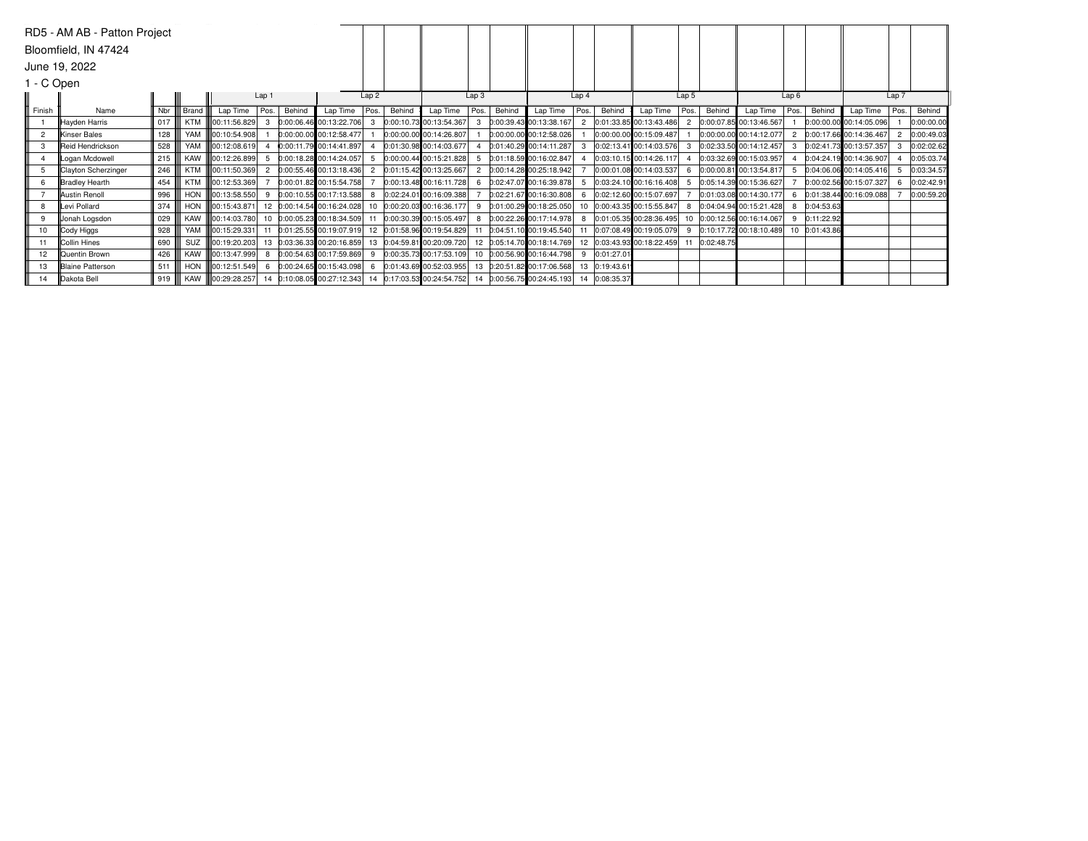|                 | RD5 - AM AB - Patton Project |     |       |                          |       |        |                                                       |      |        |                         |                  |        |                             |                  |               |                           |       |            |                            |                |               |                         |       |            |
|-----------------|------------------------------|-----|-------|--------------------------|-------|--------|-------------------------------------------------------|------|--------|-------------------------|------------------|--------|-----------------------------|------------------|---------------|---------------------------|-------|------------|----------------------------|----------------|---------------|-------------------------|-------|------------|
|                 | Bloomfield, IN 47424         |     |       |                          |       |        |                                                       |      |        |                         |                  |        |                             |                  |               |                           |       |            |                            |                |               |                         |       |            |
|                 | June 19, 2022                |     |       |                          |       |        |                                                       |      |        |                         |                  |        |                             |                  |               |                           |       |            |                            |                |               |                         |       |            |
| 1 - C Open      |                              |     |       |                          |       |        |                                                       |      |        |                         |                  |        |                             |                  |               |                           |       |            |                            |                |               |                         |       |            |
|                 |                              |     |       |                          | Lap 1 |        |                                                       | Lap2 |        |                         | Lap <sub>3</sub> |        |                             | Lap <sub>4</sub> |               |                           | Lap 5 |            |                            | Lap6           |               |                         | Lap 7 |            |
| Finish          | Name                         | Nbr | Brand | Lap Time                 | Pos.  | Behind | Lap Time                                              | Pos. | Behind | Lap Time                | Pos.             | Behind | Lap Time                    | Pos.             | Behind        | Lap Time                  | Pos.  | Behind     | Lap Time                   | Pos.           | Behind        | Lap Time                | Pos.  | Behind     |
|                 | Hayden Harris                | 017 |       | KTM 800:11:56.829        |       |        | 0:00:06.46 00:13:22.706                               |      |        | 0:00:10.73 00:13:54.367 |                  |        | $0:00:39.43$ 00:13:38.167   |                  |               | 0:01:33.85 00:13:43.486   |       |            | 0:00:07.85 00:13:46.567    |                |               | 0:00:00.00 00:14:05.096 |       | 0:00:00.00 |
| 2               | <b>IKinser Bales</b>         | 128 |       | YAM <b>100:10:54.908</b> |       |        | 0:00:00.00 00:12:58.477                               |      |        | 0:00:00.00 00:14:26.807 |                  |        | $0:00:00.00$ 00:12:58.026   |                  |               | 0:00:00.00 00:15:09.487   |       |            | 0:00:00.00 00:14:12.077    | $\overline{2}$ |               | 0:00:17.66 00:14:36.467 |       | 0:00:49.03 |
| 3               | Reid Hendrickson             | 528 |       | YAM 800:12:08.619        |       |        | 0:00:11.79 00:14:41.897                               |      |        | 0:01:30.98 00:14:03.677 |                  |        | $[0:01:40.29]$ 00:14:11.287 |                  |               | 0:02:13.41 00:14:03.576   |       |            | 0:02:33.50 00:14:12.457    | 3              |               | 0:02:41.73 00:13:57.357 |       | 0:02:02.62 |
|                 | Logan Mcdowell               | 215 |       | KAW   00:12:26.899       |       |        | 0:00:18.28 00:14:24.057                               |      |        | 0:00:00.44 00:15:21.828 |                  |        | 0:01:18.59 00:16:02.847     |                  |               | 0:03:10.15 00:14:26.117   |       |            | 0:03:32.69 00:15:03.957    |                |               | 0:04:24.19 00:14:36.907 |       | 0:05:03.74 |
| 5               | Clayton Scherzinger          | 246 |       | KTM   00:11:50.369       |       |        | 0:00:55.46 00:13:18.436                               |      |        | 0:01:15.42 00:13:25.667 |                  |        | 0:00:14.28 00:25:18.942     |                  |               | 0:00:01.08 00:14:03.537   |       |            | 0:00:00.81 00:13:54.817    |                |               | 0:04:06.06 00:14:05.416 |       | 0:03:34.57 |
| 6               | <b>Bradley Hearth</b>        | 454 |       | KTM   00:12:53.369       |       |        | 0:00:01.82 00:15:54.758                               |      |        | 0:00:13.48 00:16:11.728 |                  |        | 0:02:47.07 00:16:39.878     |                  |               | 0:03:24.10 00:16:16.408   |       |            | 0:05:14.39 00:15:36.627    |                |               | 0:00:02.56 00:15:07.327 |       | 0:02:42.91 |
|                 | <b>Austin Renoll</b>         | 996 |       | HON III00:13:58.550      |       |        | 0:00:10.55 00:17:13.588                               | -8   |        | 0:02:24.01 00:16:09.388 |                  |        | 0:02:21.67 00:16:30.808     |                  |               | 0:02:12.60 00:15:07.697   |       |            | 0:01:03.08 00:14:30.177    | 6              |               | 0:01:38.44 00:16:09.088 |       | 0:00:59.20 |
| 8               | Levi Pollard                 | 374 |       | HON 100:15:43.871        |       |        | 12 0:00:14.54 00:16:24.028 10 0:00:20.03 00:16:36.177 |      |        |                         | 9                |        | 0:01:00.29 00:18:25.050     |                  |               | 0:00:43.35 00:15:55.847   |       |            | 0:04:04.94 00:15:21.428    | 8              | 0:04:53.63    |                         |       |            |
| 9               | Jonah Logsdon                | 029 |       | KAW   00:14:03.780       |       |        | 10 0:00:05.23 00:18:34.509                            | 11   |        | 0:00:30.39 00:15:05.497 | 8                |        | 0:00:22.26 00:17:14.978     |                  |               | 0:01:05.35 00:28:36.495   |       |            | 10 0:00:12.56 00:16:14.067 | 9              | 0:11:22.92    |                         |       |            |
| 10 <sup>1</sup> | Cody Higgs                   | 928 |       | YAM 100:15:29.331        |       |        | 0:01:25.55 00:19:07.919 12 0:01:58.96 00:19:54.829    |      |        |                         |                  |        | $0:04:51.10$ 00:19:45.540   |                  |               | 0:07:08.49 00:19:05.079   | 9     |            | 0:10:17.72 00:18:10.489    |                | 10 0:01:43.86 |                         |       |            |
| 11              | Collin Hines                 | 690 |       | SUZ 100:19:20.203        | 13    |        | 0:03:36.33 00:20:16.859 13 0:04:59.81 00:20:09.720    |      |        |                         |                  |        | 12 0:05:14.70 00:18:14.769  |                  |               | $0:03:43.93$ 00:18:22.459 |       | 0:02:48.75 |                            |                |               |                         |       |            |
| 12 <sup>2</sup> | <b>Quentin Brown</b>         | 426 |       | KAW   00:13:47.999       |       |        | 0:00:54.63 00:17:59.869                               | -9   |        | 0:00:35.73 00:17:53.109 |                  |        | 0:00:56.90 00:16:44.798     |                  | 0:01:27.01    |                           |       |            |                            |                |               |                         |       |            |
| 13              | <b>Blaine Patterson</b>      | 511 |       | HON 100:12:51.549        |       |        | 0:00:24.65 00:15:43.098                               | -6   |        | 0:01:43.69 00:52:03.955 |                  |        | 13 0:20:51.82 00:17:06.568  |                  | 0:19:43.61    |                           |       |            |                            |                |               |                         |       |            |
| 14              | Dakota Bell                  | 919 |       | KAW 100:29:28.257        | 14    |        | $0:10:08.05$ 00:27:12.343 14 0:17:03.53 00:24:54.752  |      |        |                         |                  |        | 14 0:00:56.75 00:24:45.193  |                  | 14 0:08:35.37 |                           |       |            |                            |                |               |                         |       |            |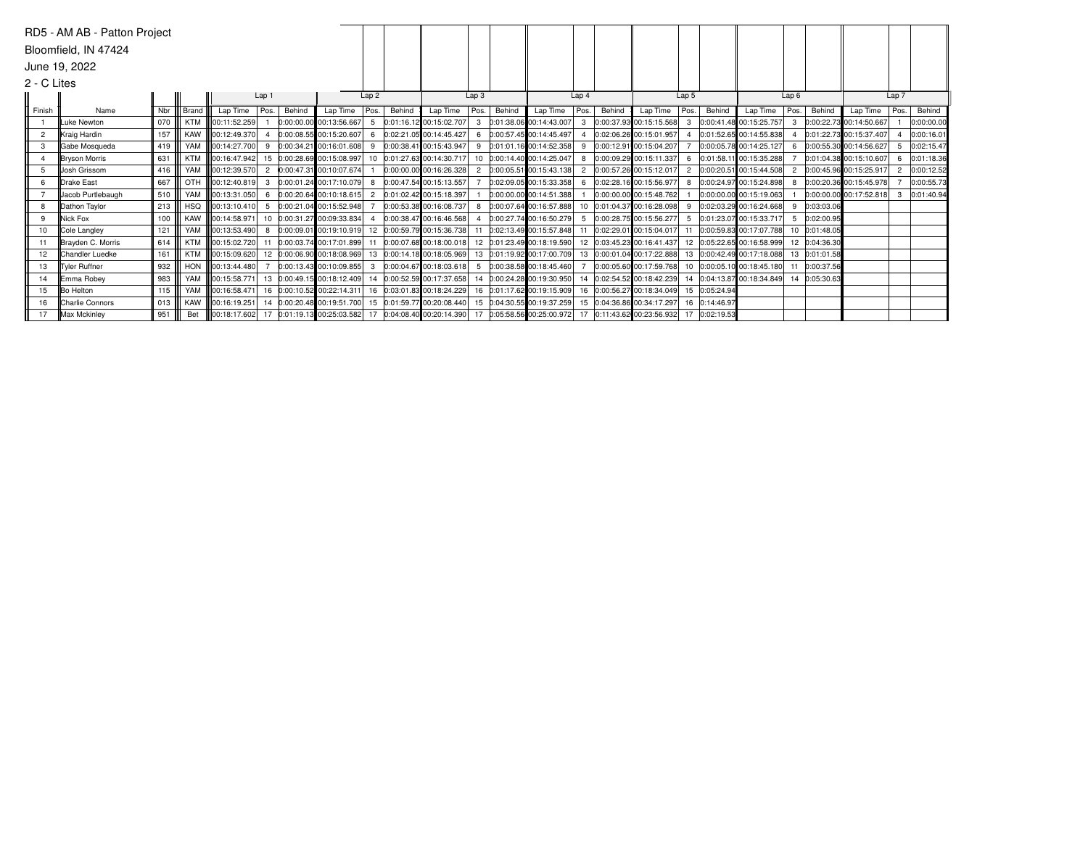|                 | RD5 - AM AB - Patton Project |     |            |                                                                                                                                               |                  |        |                             |      |        |                                                                                      |              |        |                              |                  |        |                                                                          |                        |               |                           |      |               |                           |                |            |
|-----------------|------------------------------|-----|------------|-----------------------------------------------------------------------------------------------------------------------------------------------|------------------|--------|-----------------------------|------|--------|--------------------------------------------------------------------------------------|--------------|--------|------------------------------|------------------|--------|--------------------------------------------------------------------------|------------------------|---------------|---------------------------|------|---------------|---------------------------|----------------|------------|
|                 | Bloomfield, IN 47424         |     |            |                                                                                                                                               |                  |        |                             |      |        |                                                                                      |              |        |                              |                  |        |                                                                          |                        |               |                           |      |               |                           |                |            |
|                 | June 19, 2022                |     |            |                                                                                                                                               |                  |        |                             |      |        |                                                                                      |              |        |                              |                  |        |                                                                          |                        |               |                           |      |               |                           |                |            |
|                 |                              |     |            |                                                                                                                                               |                  |        |                             |      |        |                                                                                      |              |        |                              |                  |        |                                                                          |                        |               |                           |      |               |                           |                |            |
| 2 - C Lites     |                              |     |            |                                                                                                                                               |                  |        |                             |      |        |                                                                                      |              |        |                              |                  |        |                                                                          |                        |               |                           |      |               |                           |                |            |
|                 |                              |     |            |                                                                                                                                               | Lap <sub>1</sub> |        |                             | Lap2 |        |                                                                                      | Lap3         |        |                              | Lap <sub>4</sub> |        |                                                                          | Lap 5                  |               |                           | Lap6 |               |                           | Lap 7          |            |
| Finish          | Name                         | Nbr | III Brand  | Lap Time                                                                                                                                      | Pos.             | Behind | Lap Time   Pos.             |      | Behind | Lap Time                                                                             | Pos.         | Behind | Lap Time                     | Pos.             | Behind | Lap Time                                                                 | $\lceil$ Pos. $\lceil$ | Behind        | Lap Time                  | Pos. | Behind        | Lap Time                  | Pos.           | Behind     |
|                 | Luke Newton                  | 070 | KTM        | 100:11:52.259                                                                                                                                 |                  |        | $0:00:00.00$ 00:13:56.667   |      |        | 5 0:01:16.12 00:15:02.707                                                            | $\mathbf{3}$ |        | 0:01:38.06 00:14:43.007      |                  |        | 3 0:00:37.93 00:15:15.568 3 0:00:41.48 00:15:25.757                      |                        |               |                           |      |               | 3 0:00:22.73 00:14:50.667 |                | 0:00:00.00 |
| $\overline{2}$  | Kraig Hardin                 | 157 |            | KAW   00:12:49.370                                                                                                                            |                  |        | 0:00:08.55 00:15:20.607     | 6    |        | 0:02:21.05 00:14:45.427                                                              | 6            |        | $0:00:57.45$ 00:14:45.497    |                  |        | 0:02:06.26 00:15:01.957                                                  | 4                      |               | 0:01:52.65 00:14:55.838   |      |               | 0:01:22.73 00:15:37.407   |                | 0:00:16.01 |
| 3               | Gabe Mosqueda                | 419 |            | YAM 100:14:27.700                                                                                                                             |                  |        | 9 0:00:34.21 00:16:01.608   | 9    |        | 0:00:38.41 00:15:43.947                                                              | 9            |        | 0:01:01.16 00:14:52.358      | 9                |        | 0:00:12.91 00:15:04.207                                                  |                        |               | 0:00:05.78 00:14:25.127   |      |               | 6 0:00:55.30 00:14:56.627 | 5              | 0:02:15.47 |
|                 | Bryson Morris                | 631 | <b>KTM</b> | <b>III00:16:47.942</b>                                                                                                                        |                  |        | 15 0:00:28.69 00:15:08.997  |      |        | 10 0:01:27.63 00:14:30.717                                                           |              |        | 0:00:14.40 00:14:25.047      |                  |        | 0:00:09.29 00:15:11.337                                                  | -6                     |               | 0:01:58.11 00:15:35.288   |      |               | 0:01:04.38 00:15:10.607   | 6              | 0:01:18.36 |
| 5               | <b>IIJosh Grissom</b>        | 416 | YAM        | 00:12:39.570                                                                                                                                  |                  |        | 2 0:00:47.31 00:10:07.674   |      |        | 0:00:00.00 00:16:26.328                                                              | 2            |        | 0:00:05.51 00:15:43.138      | $\overline{2}$   |        | 0:00:57.26 00:15:12.017                                                  |                        |               | 2 0:00:20.51 00:15:44.508 | 2    |               | 0:00:45.96 00:15:25.917   | $\overline{2}$ | 0:00:12.52 |
| 6               | Drake East                   | 667 | OTH        | 00:12:40.819                                                                                                                                  |                  |        | 0:00:01.24 00:17:10.079     | -8   |        | 0:00:47.54 00:15:13.557                                                              |              |        | $0:02:09.05$ 00:15:33.358    | 6                |        | 0:02:28.16 00:15:56.977                                                  | 8                      |               | 0:00:24.97 00:15:24.898   | 8    |               | 0:00:20.36 00:15:45.978   |                | 0:00:55.73 |
|                 | Jacob Purtlebaugh            | 510 | YAM        | 00:13:31.050                                                                                                                                  | 6                |        | $0:00:20.64$ 00:10:18.615 2 |      |        | 0:01:02.42 00:15:18.397                                                              |              |        | 0:00:00.00 00:14:51.388      |                  |        | 0:00:00.00 00:15:48.762                                                  |                        |               | 0:00:00.00 00:15:19.063   |      |               | 0:00:00.00 00:17:52.818   | $\mathbf{3}$   | 0:01:40.94 |
| 8               | Dathon Taylor                | 213 | HSQ        | 00:13:10.410                                                                                                                                  |                  |        | 0:00:21.04 00:15:52.948     |      |        | 0:00:53.38 00:16:08.737                                                              | 8            |        | 0:00:07.64 00:16:57.888      | 10               |        | 0:01:04.37 00:16:28.098                                                  | -9                     |               | 0:02:03.29 00:16:24.668   | 9    | 0:03:03.06    |                           |                |            |
| 9               | Nick Fox                     | 100 |            | KAW   00:14:58.971                                                                                                                            |                  |        | 10 0:00:31.27 00:09:33.834  | 4    |        | 0:00:38.47 00:16:46.568                                                              |              |        | $0:00:27.74$ 00:16:50.279    | -5               |        | 0:00:28.75 00:15:56.277                                                  | 5                      |               | 0:01:23.07 00:15:33.717   | 5    | 0:02:00.95    |                           |                |            |
| 10              | Cole Langley                 | 121 | YAM        | 00:13:53.490                                                                                                                                  | 8                |        |                             |      |        | 0:00:09.01 00:19:10.919 12 0:00:59.79 00:15:36.738                                   | 11           |        | $0:02:13.49 00:15:57.848$ 11 |                  |        | 0:02:29.01 00:15:04.017                                                  | 11                     |               | 0:00:59.83 00:17:07.788   |      | 10 0:01:48.05 |                           |                |            |
| 11              | Brayden C. Morris            | 614 |            | KTM   00:15:02.720                                                                                                                            |                  |        |                             |      |        | 0:00:03.74 00:17:01.899 11 0:00:07.68 00:18:00.018                                   |              |        | 12 0:01:23.49 00:18:19.590   |                  |        | 12 0:03:45.23 00:16:41.437 12 0:05:22.65 00:16:58.999 12 0:04:36.30      |                        |               |                           |      |               |                           |                |            |
| 12 <sup>2</sup> | <b>IChandler Luedke</b>      | 161 | KTM        | <b>II</b> O0:15:09.620                                                                                                                        |                  |        |                             |      |        | 12 0:00:06.90 00:18:08.969 13 0:00:14.18 00:18:05.969                                |              |        | 13 0:01:19.92 00:17:00.709   |                  |        | 13 0:00:01.04 00:17:22.888 13 0:00:42.49 00:17:18.088                    |                        |               |                           |      | 13 0:01:01.58 |                           |                |            |
| 13              | Tyler Ruffner                | 932 |            | HON 100:13:44.480                                                                                                                             |                  |        | $0:00:13.43$ 00:10:09.855   |      |        | 3 0:00:04.67 00:18:03.618 5 0:00:38.58 00:18:45.460                                  |              |        |                              |                  |        | $[0:00:05.60]$ 00:17:59.768 10 $[0:00:05.10]$ 00:18:45.180 11 0:00:37.56 |                        |               |                           |      |               |                           |                |            |
| 14              | <b>Emma Robev</b>            | 983 | YAM        | <b>III00:15:58.771</b>                                                                                                                        |                  |        |                             |      |        | 13 0:00:49.15 00:18:12.409 14 0:00:52.59 00:17:37.658                                |              |        | 14 0:00:24.28 00:19:30.950   |                  |        | 14 0:02:54.52 00:18:42.239 14 0:04:13.87 00:18:34.849 14 0:05:30.63      |                        |               |                           |      |               |                           |                |            |
| 15              | <b>Bo Helton</b>             | 115 |            | YAM III00:16:58.471                                                                                                                           |                  |        |                             |      |        | 16 0:00:10.52 00:22:14.311   16 0:03:01.83 00:18:24.229   16 0:01:17.62 00:19:15.909 |              |        |                              |                  |        | 16 0:00:56.27 00:18:34.049 15 0:05:24.94                                 |                        |               |                           |      |               |                           |                |            |
| 16              | <b>Charlie Connors</b>       | 013 |            | KAW   00:16:19.251                                                                                                                            |                  |        |                             |      |        | 14 0:00:20.48 00:19:51.700 15 0:01:59.77 00:20:08.440 15 0:04:30.55 00:19:37.259     |              |        |                              |                  |        | 15 0:04:36.86 00:34:17.297                                               |                        | 16 0:14:46.97 |                           |      |               |                           |                |            |
| 17              | Max Mckinley                 | 951 |            | Bet    00:18:17.602 17 0:01:19.13 00:25:03.582 17 0:04:08.40 00:20:14.390 17 0:05:58.56 00:25:00.972 17 0:11:43.62 00:23:56.932 17 0:02:19.53 |                  |        |                             |      |        |                                                                                      |              |        |                              |                  |        |                                                                          |                        |               |                           |      |               |                           |                |            |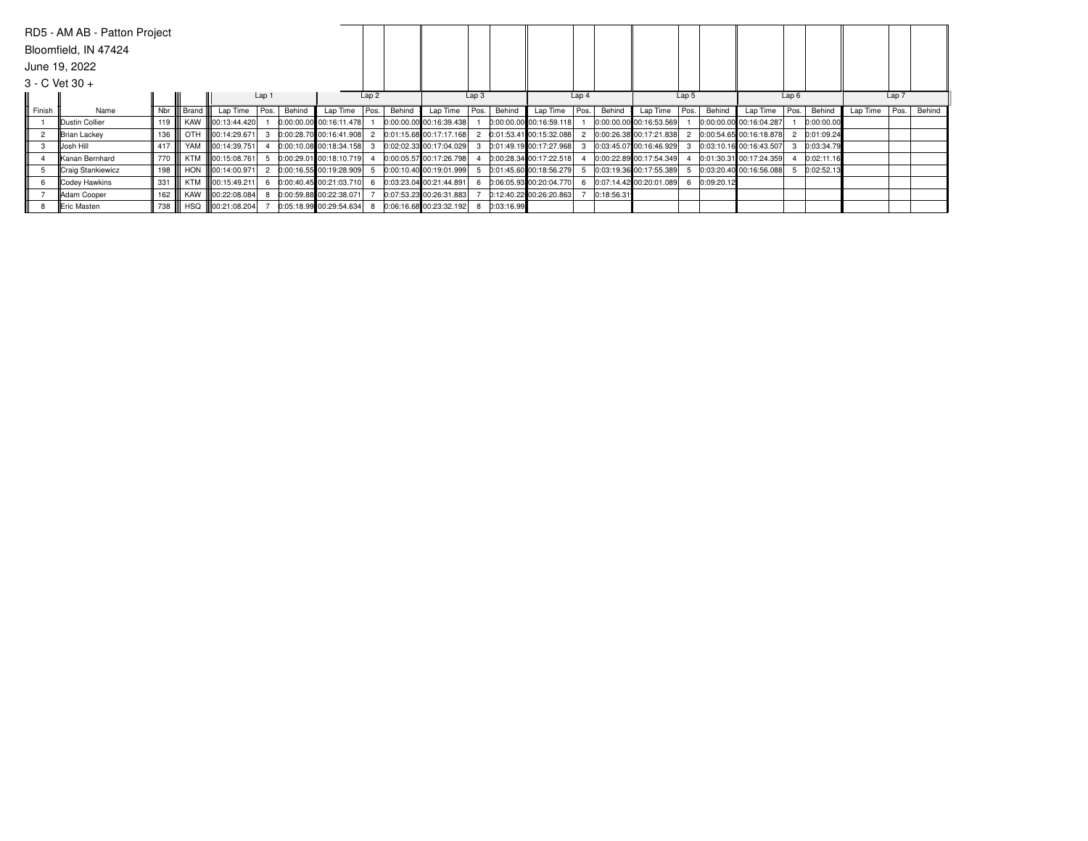|                | RD5 - AM AB - Patton Project |         |            |                            |       |        |                           |                  |        |                         |                  |            |                           |                  |            |                           |                  |            |                             |      |            |          |       |        |
|----------------|------------------------------|---------|------------|----------------------------|-------|--------|---------------------------|------------------|--------|-------------------------|------------------|------------|---------------------------|------------------|------------|---------------------------|------------------|------------|-----------------------------|------|------------|----------|-------|--------|
|                | Bloomfield, IN 47424         |         |            |                            |       |        |                           |                  |        |                         |                  |            |                           |                  |            |                           |                  |            |                             |      |            |          |       |        |
|                | June 19, 2022                |         |            |                            |       |        |                           |                  |        |                         |                  |            |                           |                  |            |                           |                  |            |                             |      |            |          |       |        |
|                | $3 - C$ Vet $30 +$           |         |            |                            |       |        |                           |                  |        |                         |                  |            |                           |                  |            |                           |                  |            |                             |      |            |          |       |        |
|                |                              |         |            |                            | Lap 1 |        |                           | Lap <sub>2</sub> |        |                         | Lap <sub>3</sub> |            |                           | Lap <sub>4</sub> |            |                           | Lap <sub>5</sub> |            |                             | Lap6 |            |          | Lap 7 |        |
| Finish         | Name                         | Nbr III | Brand      | Lap Time                   | Pos.  | Behind | Lap Time                  | Pos.             | Behind | Lap Time                | Pos.             | Behind     | Lap Time                  | Pos.             | Behind     | Lap Time                  | Pos.             | Behind     | Lap Time                    | Pos. | Behind     | Lap Time | Pos.  | Behind |
|                | Dustin Collier               |         |            | KAW 100:13:44.420          |       |        | 0:00:00.00 00:16:11.478   |                  |        | 0:00:00.00 00:16:39.438 |                  |            | $0:00:00.00$ 00:16:59.118 |                  |            | $0:00:00.00$ 00:16:53.569 |                  |            | 0:00:00.00 00:16:04.287     |      | 0:00:00.00 |          |       |        |
| $\overline{2}$ | Brian Lackey                 | 136     | <b>OTH</b> | 00:14:29.671               |       |        | 0:00:28.70 00:16:41.908   |                  |        | 0:01:15.68 00:17:17.168 |                  |            | 0:01:53.41 00:15:32.088   |                  |            | 0:00:26.38 00:17:21.838   |                  |            | 0:00:54.65 00:16:18.878     |      | 0:01:09.24 |          |       |        |
|                | Josh Hill                    | 417     |            | YAM   00:14:39.751         |       |        | 0:00:10.08 00:18:34.158   |                  |        | 0:02:02.33 00:17:04.029 |                  |            | 0:01:49.19 00:17:27.968   |                  |            | 0:03:45.07 00:16:46.929   |                  |            | $[0:03:10.16]$ 00:16:43.507 |      | 0:03:34.79 |          |       |        |
|                | Kanan Bernhard               | 770 I   |            | KTM   00:15:08.761         |       |        | $0:00:29.01$ 00:18:10.719 |                  |        | 0:00:05.57 00:17:26.798 |                  |            | 0:00:28.34 00:17:22.518   |                  |            | 0:00:22.89 00:17:54.349   |                  |            | 0:01:30.31 00:17:24.359     |      | 0:02:11.16 |          |       |        |
|                | <b>Craig Stankiewicz</b>     | 198     |            | HON <b>II</b> 00:14:00.971 |       |        | 0:00:16.55 00:19:28.909   |                  |        | 0:00:10.40 00:19:01.999 |                  |            | 0:01:45.60 00:18:56.279   |                  |            | 0:03:19.36 00:17:55.389   |                  |            | 0:03:20.40 00:16:56.088     |      | 0:02:52.13 |          |       |        |
| 6              | Codey Hawkins                | 331     | KTM II     | lloo:15:49.211l            |       |        | 0:00:40.45 00:21:03.710   |                  |        | 0:03:23.04 00:21:44.891 |                  |            | $0:06:05.93$ 00:20:04.770 |                  |            | 0:07:14.42 00:20:01.089   |                  | 0:09:20.12 |                             |      |            |          |       |        |
|                | Adam Cooper                  | 162     |            | KAW   00:22:08.084         |       |        | 0:00:59.88 00:22:38.071   |                  |        | 0:07:53.23 00:26:31.883 |                  |            | $0:12:40.22$ 00:26:20.863 |                  | 0:18:56.31 |                           |                  |            |                             |      |            |          |       |        |
|                | IEric Masten                 | 738     |            | HSQ 100:21:08.204          |       |        | 0:05:18.99 00:29:54.634   |                  |        | 0:06:16.68 00:23:32.192 |                  | 0:03:16.99 |                           |                  |            |                           |                  |            |                             |      |            |          |       |        |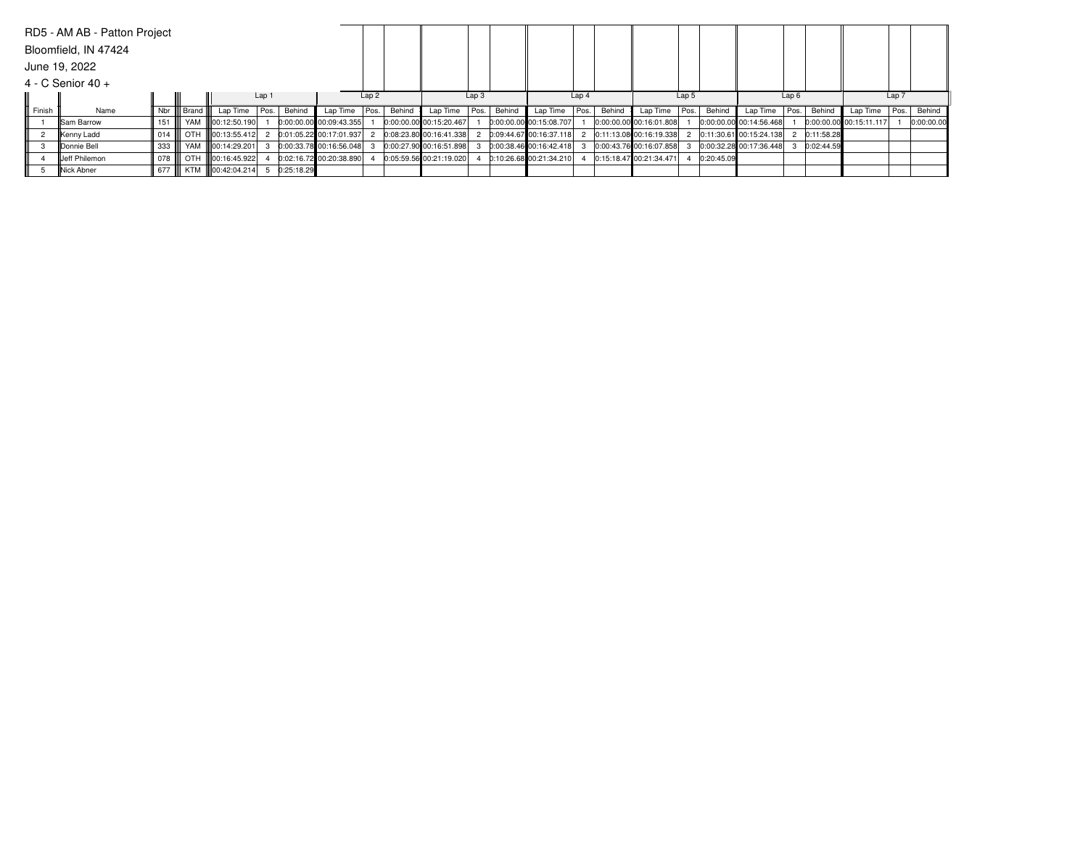|        | RD5 - AM AB - Patton Project |         |     |                        |                  |            |                           |      |        |                         |                  |        |                           |                  |        |                         |        |            |                         |      |            |                           |       |            |
|--------|------------------------------|---------|-----|------------------------|------------------|------------|---------------------------|------|--------|-------------------------|------------------|--------|---------------------------|------------------|--------|-------------------------|--------|------------|-------------------------|------|------------|---------------------------|-------|------------|
|        | Bloomfield, IN 47424         |         |     |                        |                  |            |                           |      |        |                         |                  |        |                           |                  |        |                         |        |            |                         |      |            |                           |       |            |
|        | June 19, 2022                |         |     |                        |                  |            |                           |      |        |                         |                  |        |                           |                  |        |                         |        |            |                         |      |            |                           |       |            |
|        | $4 - C$ Senior 40 +          |         |     |                        |                  |            |                           |      |        |                         |                  |        |                           |                  |        |                         |        |            |                         |      |            |                           |       |            |
|        |                              |         |     |                        | Lap <sub>1</sub> |            |                           | Lap2 |        |                         | Lap <sub>3</sub> |        |                           | Lap <sub>4</sub> |        |                         | Lap 5  |            |                         | Lap6 |            |                           | Lap 7 |            |
| Finish | Name                         | Nbr III |     | Brand III Lap Time     | Pos.             | Behind     | Lap Time   Pos.           |      | Behind | Lap Time                | Pos.             | Behind | Lap Time                  | Pos.             | Behind | Lap Time                | Pos. I | Behind     | Lap Time   Pos.         |      | Behind     | Lap Time                  | Pos.  | Behind     |
|        | <b>ISam Barrow</b>           | 151     | YAM | <b>III00:12:50.190</b> |                  |            | $0:00:00.00$ 00:09:43.355 |      |        | 0:00:00.00 00:15:20.467 |                  |        | 0:00:00.00 00:15:08.707   |                  |        | 0:00:00.00 00:16:01.808 |        |            | 0:00:00.00 00:14:56.468 |      |            | $0:00:00.00$ 00:15:11.117 |       | 0:00:00.00 |
|        | Kenny Ladd                   | 014     | OTH | <b>III00:13:55.412</b> |                  |            | 0:01:05.22 00:17:01.937   |      |        | 0:08:23.80 00:16:41.338 |                  |        | 0:09:44.67 00:16:37.118   |                  |        | 0:11:13.08 00:16:19.338 |        |            | 0:11:30.61 00:15:24.138 |      | 0:11:58.28 |                           |       |            |
|        | Donnie Bell                  | 333     |     | YAM III00:14:29.201    |                  |            | 0:00:33.78 00:16:56.048   |      |        | 0:00:27.90 00:16:51.898 |                  |        | $0:00:38.46$ 00:16:42.418 |                  |        | 0:00:43.76 00:16:07.858 |        |            | 0:00:32.28 00:17:36.448 |      | 0:02:44.59 |                           |       |            |
|        | <b>Jeff Philemon</b>         | 078     | OTH | <b>III00:16:45.922</b> |                  |            | 0:02:16.72 00:20:38.890   |      |        | 0:05:59.56 00:21:19.020 |                  |        | 0:10:26.68 00:21:34.210   |                  |        | 0:15:18.47 00:21:34.471 |        | 0:20:45.09 |                         |      |            |                           |       |            |
|        | Nick Abner                   | 677     |     | KTM 100:42:04.214      |                  | 0:25:18.29 |                           |      |        |                         |                  |        |                           |                  |        |                         |        |            |                         |      |            |                           |       |            |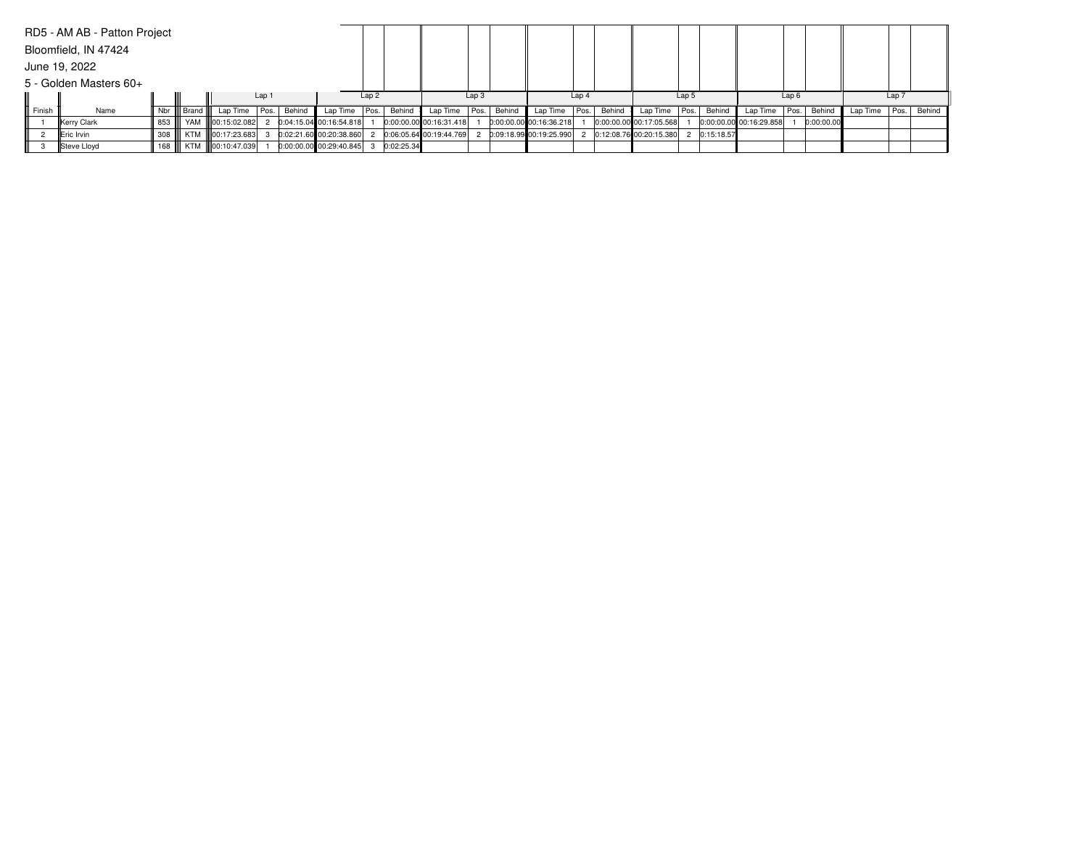|        | RD5 - AM AB - Patton Project |                   |             |                    |       |        |                         |                  |              |                         |      |        |                           |                  |        |                         |       |              |                         |      |            |          |       |        |
|--------|------------------------------|-------------------|-------------|--------------------|-------|--------|-------------------------|------------------|--------------|-------------------------|------|--------|---------------------------|------------------|--------|-------------------------|-------|--------------|-------------------------|------|------------|----------|-------|--------|
|        | Bloomfield, IN 47424         |                   |             |                    |       |        |                         |                  |              |                         |      |        |                           |                  |        |                         |       |              |                         |      |            |          |       |        |
|        | June 19, 2022                |                   |             |                    |       |        |                         |                  |              |                         |      |        |                           |                  |        |                         |       |              |                         |      |            |          |       |        |
|        | 5 - Golden Masters 60+       |                   |             |                    |       |        |                         |                  |              |                         |      |        |                           |                  |        |                         |       |              |                         |      |            |          |       |        |
|        |                              |                   |             |                    | Lap 1 |        |                         | Lap <sub>2</sub> |              |                         | Lap3 |        |                           | Lap <sub>4</sub> |        |                         | Lap 5 |              |                         | Lap6 |            |          | Lap 7 |        |
| Finish | Name                         |                   | Nbr   Brand | Lap Time   Pos.    |       | Behind | Lap Time $ Pos. $       |                  | Behind       | Lap Time   Pos.         |      | Behind | Lap Time   Pos.           |                  | Behind | Lap Time   Pos.         |       | Behind       | Lap Time   Pos.         |      | Behind     | Lap Time | Pos.  | Behind |
|        | Kerry Clark                  | 853               |             | YAM 100:15:02.082  |       |        | 0:04:15.04 00:16:54.818 |                  |              | 0:00:00.00 00:16:31.418 |      |        | 0:00:00.00 00:16:36.218   |                  |        | 0:00:00.00 00:17:05.568 |       |              | 0:00:00.00 00:16:29.858 |      | 0:00:00.00 |          |       |        |
|        | <b>IEric Irvin</b>           | $308$ $\parallel$ |             | KTM   00:17:23.683 |       |        | 0:02:21.60 00:20:38.860 |                  |              | 0:06:05.64 00:19:44.769 |      |        | 2 0:09:18.99 00:19:25.990 |                  |        | 0:12:08.76 00:20:15.380 |       | 2 0:15:18.57 |                         |      |            |          |       |        |
|        | Steve Lloyd                  | 168 III           |             | KTM   00:10:47.039 |       |        | 0:00:00.00 00:29:40.845 |                  | 3 0:02:25.34 |                         |      |        |                           |                  |        |                         |       |              |                         |      |            |          |       |        |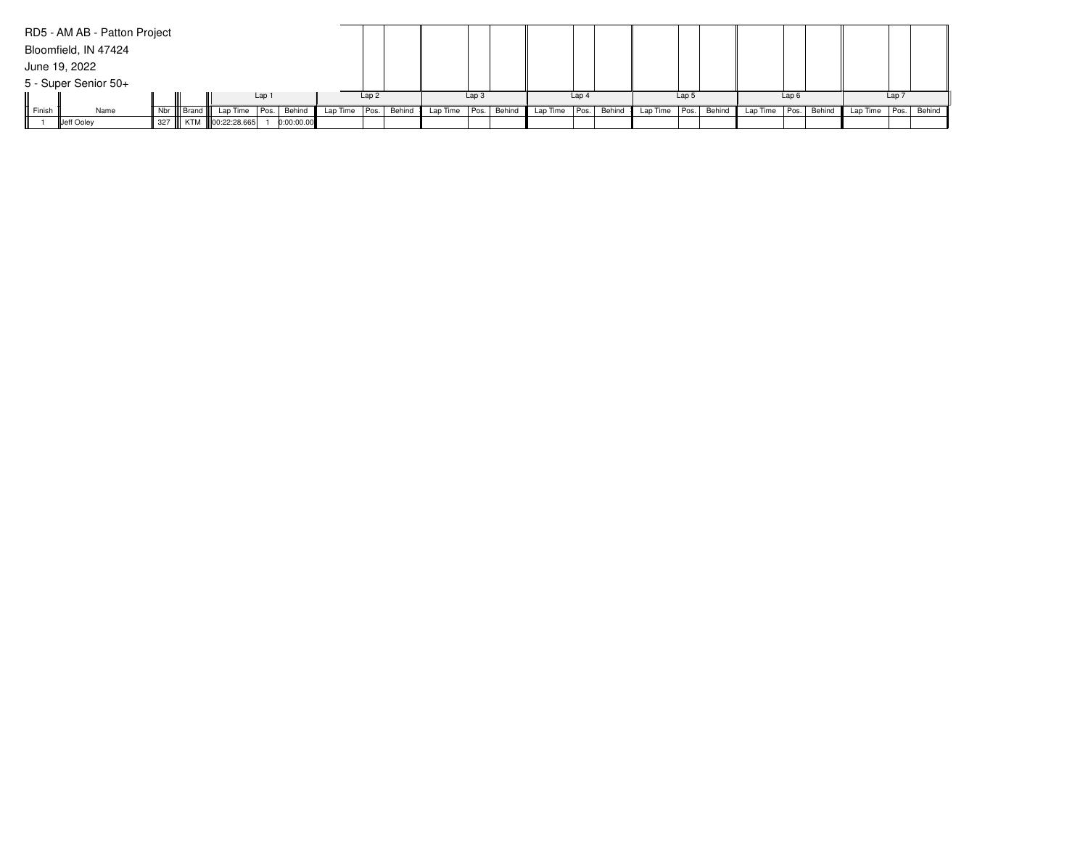|        | RD5 - AM AB - Patton Project |             |                           |       |            |          |                  |        |          |                  |        |                 |                  |                      |                  |        |                          |                  |          |       |             |
|--------|------------------------------|-------------|---------------------------|-------|------------|----------|------------------|--------|----------|------------------|--------|-----------------|------------------|----------------------|------------------|--------|--------------------------|------------------|----------|-------|-------------|
|        | Bloomfield, IN 47424         |             |                           |       |            |          |                  |        |          |                  |        |                 |                  |                      |                  |        |                          |                  |          |       |             |
|        | June 19, 2022                |             |                           |       |            |          |                  |        |          |                  |        |                 |                  |                      |                  |        |                          |                  |          |       |             |
|        | 5 - Super Senior 50+         |             |                           |       |            |          |                  |        |          |                  |        |                 |                  |                      |                  |        |                          |                  |          |       |             |
|        |                              |             |                           | Lap 1 |            |          | Lap <sub>2</sub> |        |          | Lap <sub>3</sub> |        |                 | Lap <sub>4</sub> |                      | Lap <sub>5</sub> |        |                          | Lap <sub>6</sub> |          | Lap 7 |             |
| Finish | Name                         | Nbr   Brand | Lap Time                  | Pos.  | Behind     | Lap Time | Pos.             | Behind | Lap Time | Pos.             | Behind | Lap Time   Pos. |                  | Behind Lap Time Pos. |                  | Behind | Lap Time   Pos.   Behind |                  | Lap Time |       | Pos. Behind |
|        | Jeff Ooley                   |             | 327    KTM   00:22:28.665 |       | 0:00:00.00 |          |                  |        |          |                  |        |                 |                  |                      |                  |        |                          |                  |          |       |             |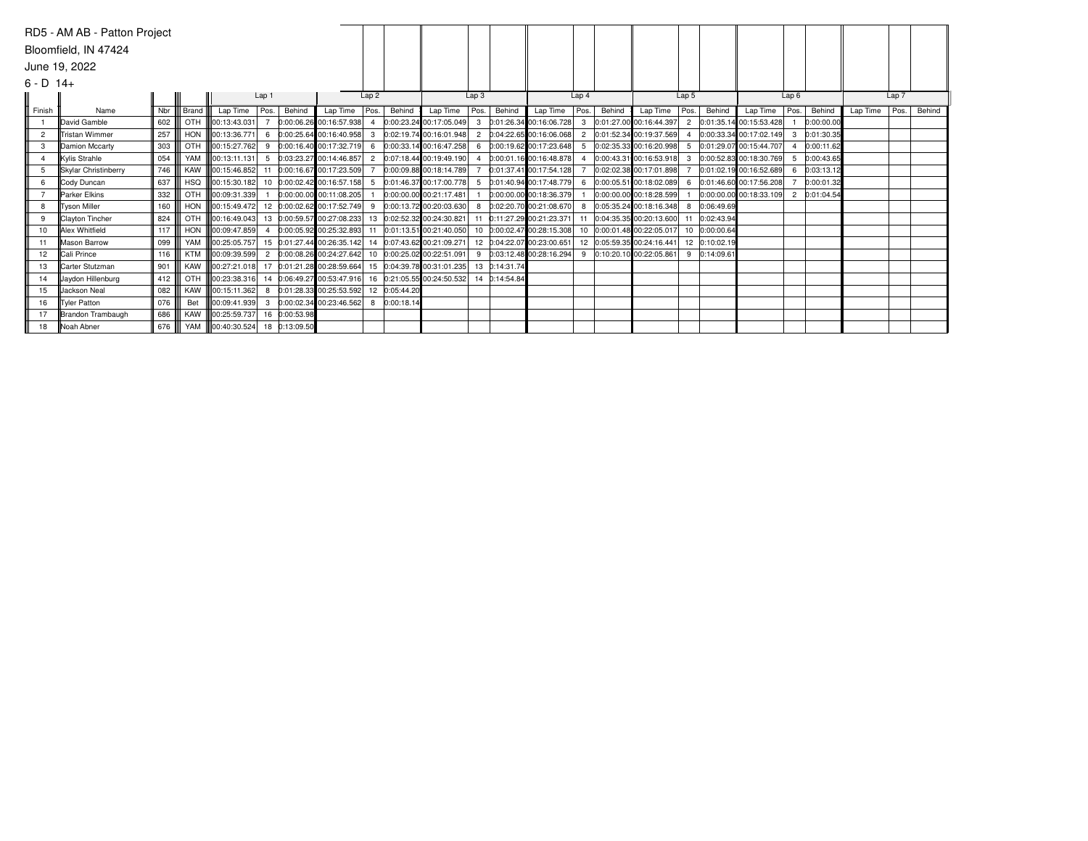|                | RD5 - AM AB - Patton Project |     |            |                          |                  |               |                                                       |                |        |                            |                  |               |                            |                |        |                               |                |               |                               |      |            |          |       |        |
|----------------|------------------------------|-----|------------|--------------------------|------------------|---------------|-------------------------------------------------------|----------------|--------|----------------------------|------------------|---------------|----------------------------|----------------|--------|-------------------------------|----------------|---------------|-------------------------------|------|------------|----------|-------|--------|
|                | Bloomfield, IN 47424         |     |            |                          |                  |               |                                                       |                |        |                            |                  |               |                            |                |        |                               |                |               |                               |      |            |          |       |        |
|                | June 19, 2022                |     |            |                          |                  |               |                                                       |                |        |                            |                  |               |                            |                |        |                               |                |               |                               |      |            |          |       |        |
|                |                              |     |            |                          |                  |               |                                                       |                |        |                            |                  |               |                            |                |        |                               |                |               |                               |      |            |          |       |        |
| $6 - D$ 14+    |                              |     |            |                          |                  |               |                                                       |                |        |                            |                  |               |                            |                |        |                               |                |               |                               |      |            |          |       |        |
|                |                              |     |            |                          | Lap <sub>1</sub> |               |                                                       | Lap2           |        |                            | Lap <sub>3</sub> |               |                            | Lap4           |        |                               | Lap 5          |               |                               | Lap6 |            |          | Lap 7 |        |
| Finish         | Name                         | Nbr | Brand      | Lap Time                 | Pos.             | Behind        | Lap Time                                              | Pos.           | Behind | Lap Time $ Pos. $          |                  | Behind        | Lap Time                   | Pos.           | Behind | Lap Time                      | Pos.           | Behind        | Lap Time   Pos.               |      | Behind     | Lap Time | Pos.  | Behind |
|                | David Gamble                 | 602 | <b>OTH</b> | 00:13:43.031             |                  |               | 0:00:06.26 00:16:57.938                               | $\overline{4}$ |        | 0:00:23.24 00:17:05.049    |                  |               | 3 0:01:26.34 00:16:06.728  | 3              |        | 0:01:27.00 00:16:44.397       | $\overline{2}$ |               | 0:01:35.14 00:15:53.428       |      | 0:00:00.00 |          |       |        |
| $\overline{2}$ | <b>Tristan Wimmer</b>        | 257 |            | HON <b>100:13:36.771</b> | -6               |               | $0:00:25.64$ 00:16:40.958 3                           |                |        | 0:02:19.74 00:16:01.948    |                  |               | 2 0:04:22.65 00:16:06.068  | $\overline{2}$ |        | 0:01:52.34 00:19:37.569       |                |               | $ 0:00:33.34 00:17:02.149 $ 3 |      | 0:01:30.35 |          |       |        |
| 3              | Damion Mccarty               | 303 | <b>OTH</b> | 00:15:27.762             | 9                |               | 0:00:16.40 00:17:32.719                               | 6              |        | 0:00:33.14 00:16:47.258    |                  |               | 6 0:00:19.62 00:17:23.648  | 5              |        | 0:02:35.33 00:16:20.998       | 5              |               | 0:01:29.07 00:15:44.707       |      | 0:00:11.62 |          |       |        |
| $\mathbf{4}$   | Kylis Strahle                | 054 | YAM        | 100:13:11.131            | 5                |               | $0:03:23.27$ 00:14:46.857                             | $-2$           |        | 0:07:18.44 00:19:49.190    | $\overline{4}$   |               | 0:00:01.16 00:16:48.878    |                |        | 0:00:43.31 00:16:53.918       | $\mathbf{3}$   |               | 0:00:52.83 00:18:30.769       | - 5  | 0:00:43.65 |          |       |        |
| 5              | Skylar Christinberry         | 746 | <b>KAW</b> | 00:15:46.852             | 11               |               | 0:00:16.67 00:17:23.509                               |                |        | 0:00:09.88 00:18:14.789    |                  |               | 0:01:37.41 00:17:54.128    |                |        | 0:02:02.38 00:17:01.898       |                |               | 0:01:02.19 00:16:52.689       | 6    | 0:03:13.12 |          |       |        |
| 6              | Cody Duncan                  | 637 |            | HSQ   00:15:30.182       |                  |               | 10 0:00:02.42 00:16:57.158 5                          |                |        | 0:01:46.37 00:17:00.778    |                  |               | 5 0:01:40.94 00:17:48.779  | 6              |        | $ 0:00:05.51 00:18:02.089 $ 6 |                |               | 0:01:46.60 00:17:56.208       |      | 0:00:01.32 |          |       |        |
|                | Parker Elkins                | 332 | OTH        | 00:09:31.339             |                  |               | 0:00:00.00 00:11:08.205                               |                |        | 0:00:00.00 00:21:17.481    |                  |               | 0:00:00.00 00:18:36.379    |                |        | 0:00:00.00 00:18:28.599       |                |               | $0:00:00.00$ 00:18:33.109 2   |      | 0:01:04.54 |          |       |        |
| 8              | Tyson Miller                 | 160 |            | HON <b>100:15:49.472</b> |                  |               | 12 0:00:02.62 00:17:52.749 9                          |                |        | 0:00:13.72 00:20:03.630    | 8                |               | $0:02:20.70$ 00:21:08.670  |                |        | 0:05:35.24 00:18:16.348       |                | 0:06:49.69    |                               |      |            |          |       |        |
| 9              | <b>Clayton Tincher</b>       | 824 | <b>OTH</b> | III00:16:49.043          |                  |               | 13 0:00:59.57 00:27:08.233                            |                |        | 13 0:02:52.32 00:24:30.821 | 11               |               | 0:11:27.29 00:21:23.371    | 11             |        | 0:04:35.35 00:20:13.600       |                | 0:02:43.94    |                               |      |            |          |       |        |
| 10             | Alex Whitfield               | 117 |            | HON <b>100:09:47.859</b> |                  |               | 0:00:05.92 00:25:32.893 11                            |                |        | 0:01:13.51 00:21:40.050    |                  |               | 10 0:00:02.47 00:28:15.308 |                |        | 10 0:00:01.48 00:22:05.017    | 10             | 0:00:00.64    |                               |      |            |          |       |        |
| 11             | Mason Barrow                 | 099 | YAM        | 00:25:05.757             |                  |               | 15 0:01:27.44 00:26:35.142 14 0:07:43.62 00:21:09.271 |                |        |                            |                  |               | 12 0:04:22.07 00:23:00.651 |                |        | 12 0:05:59.35 00:24:16.441    |                | 12 0:10:02.19 |                               |      |            |          |       |        |
| 12             | Cali Prince                  | 116 | <b>KTM</b> | 00:09:39.599             |                  |               | $0:00:08.26$ 00:24:27.642 10 0:00:25.02 00:22:51.091  |                |        |                            |                  |               | 9 0:03:12.48 00:28:16.294  | 9              |        | 0:10:20.10 00:22:05.861       | 9              | 0:14:09.61    |                               |      |            |          |       |        |
| 13             | Carter Stutzman              | 901 | <b>KAW</b> | 00:27:21.018             |                  |               | 17 0:01:21.28 00:28:59.664 15 0:04:39.78 00:31:01.235 |                |        |                            |                  | 13 0:14:31.74 |                            |                |        |                               |                |               |                               |      |            |          |       |        |
| 14             | <b>Javdon Hillenburg</b>     | 412 |            | OTH 100:23:38.316        |                  |               | 14 0:06:49.27 00:53:47.916 16 0:21:05.55 00:24:50.532 |                |        |                            |                  | 14 0:14:54.84 |                            |                |        |                               |                |               |                               |      |            |          |       |        |
| 15             | Uackson Neal                 | 082 | KAW        | 00:15:11.362             | 8                |               | 0:01:28.33 00:25:53.592 12 0:05:44.20                 |                |        |                            |                  |               |                            |                |        |                               |                |               |                               |      |            |          |       |        |
| 16             | Tyler Patton                 | 076 | Bet        | 00:09:41.939             |                  |               | 3 0:00:02.34 00:23:46.562 8 0:00:18.14                |                |        |                            |                  |               |                            |                |        |                               |                |               |                               |      |            |          |       |        |
| 17             | Brandon Trambaugh            | 686 |            | KAW   00:25:59.737       |                  | 16 0:00:53.98 |                                                       |                |        |                            |                  |               |                            |                |        |                               |                |               |                               |      |            |          |       |        |
| 18             | Noah Abner                   | 676 |            | YAM 100:40:30.524        |                  | 18 0:13:09.50 |                                                       |                |        |                            |                  |               |                            |                |        |                               |                |               |                               |      |            |          |       |        |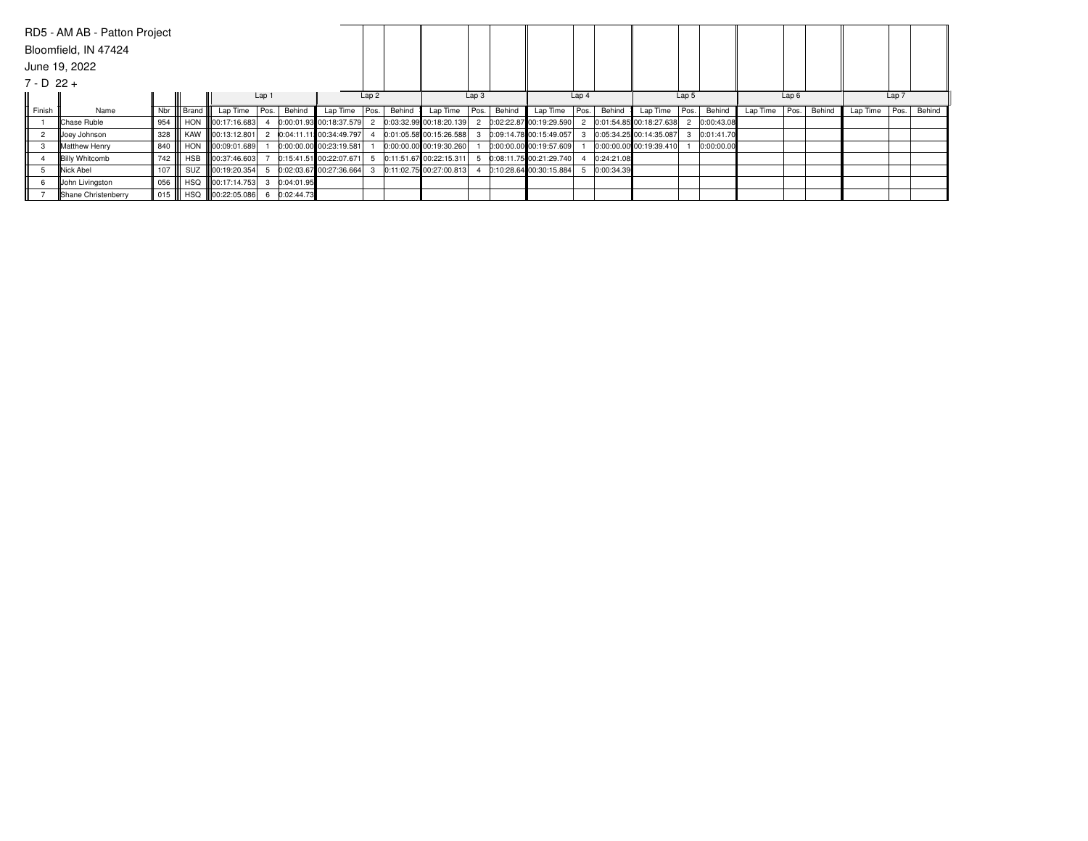|                | RD5 - AM AB - Patton Project |          |       |                          |       |            |                           |                  |        |                         |                  |        |                           |                  |            |                         |       |            |                 |      |        |          |       |        |
|----------------|------------------------------|----------|-------|--------------------------|-------|------------|---------------------------|------------------|--------|-------------------------|------------------|--------|---------------------------|------------------|------------|-------------------------|-------|------------|-----------------|------|--------|----------|-------|--------|
|                | Bloomfield, IN 47424         |          |       |                          |       |            |                           |                  |        |                         |                  |        |                           |                  |            |                         |       |            |                 |      |        |          |       |        |
|                | June 19, 2022                |          |       |                          |       |            |                           |                  |        |                         |                  |        |                           |                  |            |                         |       |            |                 |      |        |          |       |        |
| $7 - D 22 +$   |                              |          |       |                          |       |            |                           |                  |        |                         |                  |        |                           |                  |            |                         |       |            |                 |      |        |          |       |        |
|                |                              |          |       |                          | Lap 1 |            |                           | Lap <sub>2</sub> |        |                         | Lap <sub>3</sub> |        |                           | Lap <sub>4</sub> |            |                         | Lap 5 |            |                 | Lap6 |        |          | Lap 7 |        |
| Finish         | Name                         | Nbr I    | Brand | Lap Time                 | Pos.  | Behind     | Lap Time                  | Pos.             | Behind | Lap Time $ Pos. $       |                  | Behind | Lap Time                  | Pos.             | Behind     | Lap Time                | Pos.  | Behind     | Lap Time   Pos. |      | Behind | Lap Time | Pos.  | Behind |
|                | Chase Ruble                  | 954      |       | HON <b>100:17:16.683</b> |       |            | $0:00:01.93$ 00:18:37.579 |                  |        | 0:03:32.99 00:18:20.139 |                  |        | 0:02:22.87 00:19:29.590   |                  |            | 0:01:54.85 00:18:27.638 |       | 0:00:43.08 |                 |      |        |          |       |        |
| $\overline{2}$ | Joey Johnson                 | 328      |       | KAW   00:13:12.801       |       |            | 0:04:11.11: 00:34:49.797  |                  |        | 0:01:05.58 00:15:26.588 |                  |        | 0:09:14.78 00:15:49.057   |                  |            | 0:05:34.25 00:14:35.087 |       | 0:01:41.70 |                 |      |        |          |       |        |
|                | Matthew Henry                | 840      |       | HON 100:09:01.689        |       |            | 0:00:00.00 00:23:19.581   |                  |        | 0:00:00.00 00:19:30.260 |                  |        | $0:00:00.00$ 00:19:57.609 |                  |            | 0:00:00.00 00:19:39.410 |       | 0:00:00.00 |                 |      |        |          |       |        |
|                | <b>Billy Whitcomb</b>        | 742 III  |       | HSB   00:37:46.603       |       |            | 0:15:41.51 00:22:07.671   |                  |        | 0:11:51.67 00:22:15.311 |                  |        | 0:08:11.75 00:21:29.740   |                  | 0:24:21.08 |                         |       |            |                 |      |        |          |       |        |
|                | <b>Nick Abel</b>             |          |       | SUZ   00:19:20.354       |       |            | 0:02:03.67 00:27:36.664   |                  |        | 0:11:02.75 00:27:00.813 |                  |        | 0:10:28.64 00:30:15.884   |                  | 0:00:34.39 |                         |       |            |                 |      |        |          |       |        |
|                | John Livingston              | 056      |       | HSQ   00:17:14.753       |       | 0:04:01.95 |                           |                  |        |                         |                  |        |                           |                  |            |                         |       |            |                 |      |        |          |       |        |
|                | Shane Christenberry          | $015$ II |       | HSQ   00:22:05.086       |       | 0:02:44.73 |                           |                  |        |                         |                  |        |                           |                  |            |                         |       |            |                 |      |        |          |       |        |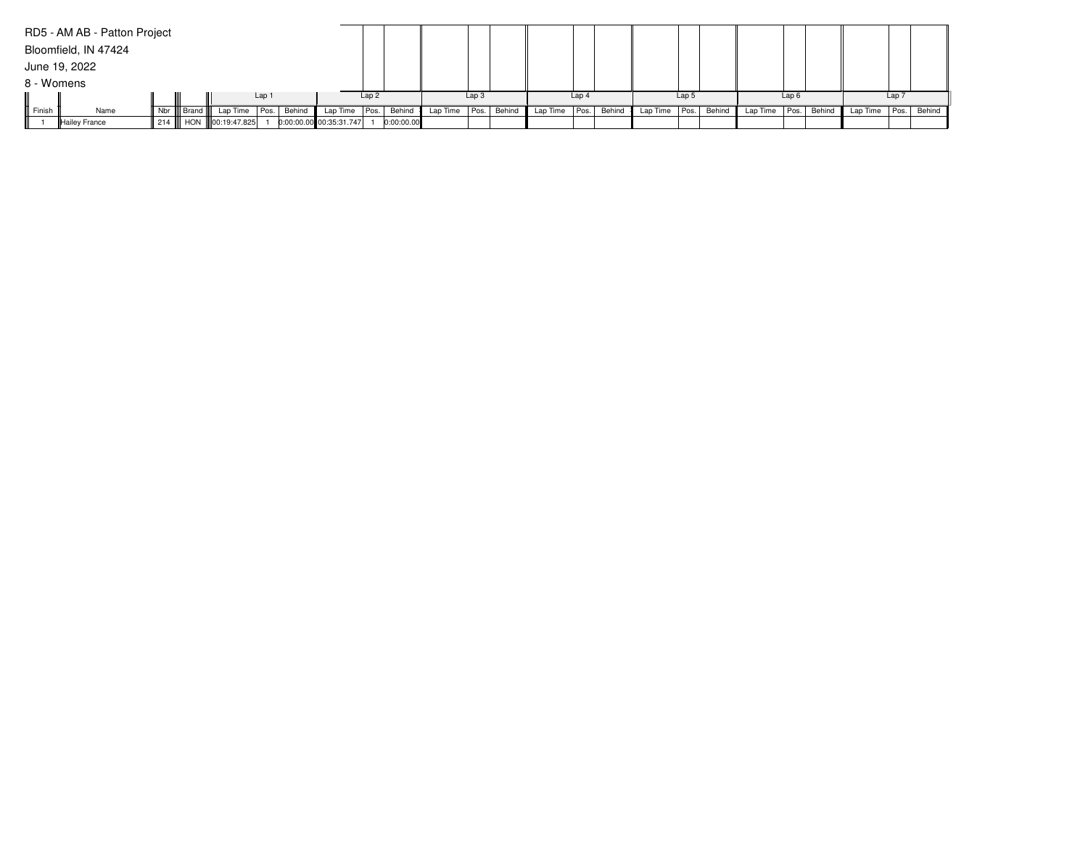|            | RD5 - AM AB - Patton Project |     |                                   |                  |                         |                  |            |                 |                  |        |          |       |        |          |                  |        |                          |                  |                          |       |  |
|------------|------------------------------|-----|-----------------------------------|------------------|-------------------------|------------------|------------|-----------------|------------------|--------|----------|-------|--------|----------|------------------|--------|--------------------------|------------------|--------------------------|-------|--|
|            | Bloomfield, IN 47424         |     |                                   |                  |                         |                  |            |                 |                  |        |          |       |        |          |                  |        |                          |                  |                          |       |  |
|            | June 19, 2022                |     |                                   |                  |                         |                  |            |                 |                  |        |          |       |        |          |                  |        |                          |                  |                          |       |  |
| 8 - Womens |                              |     |                                   |                  |                         |                  |            |                 |                  |        |          |       |        |          |                  |        |                          |                  |                          |       |  |
|            |                              |     |                                   | Lap <sub>1</sub> |                         | Lap <sub>2</sub> |            |                 | Lap <sub>3</sub> |        |          | Lap 4 |        |          | Lap <sub>5</sub> |        |                          | Lap <sub>6</sub> |                          | Lap 7 |  |
| Finish     | Name                         | Nbr | Brand    Lap Time   Pos.   Behind |                  | Lap Time $ Pos. $       |                  | Behind     | Lap Time   Pos. |                  | Behind | Lap Time | Pos.  | Behind | Lap Time | Pos.             | Behind | Lap Time   Pos.   Behind |                  | Lap Time   Pos.   Behind |       |  |
|            | Hailey France                |     | 214    HON   00:19:47.825         |                  | 0:00:00.00 00:35:31.747 |                  | 0:00:00.00 |                 |                  |        |          |       |        |          |                  |        |                          |                  |                          |       |  |